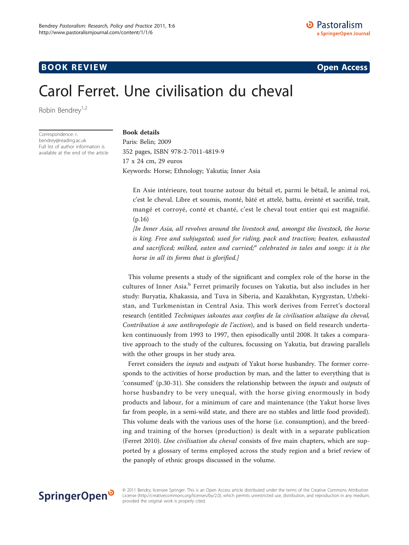# **BOOK REVIEW CONTROL** BOOK REVIEW

# Carol Ferret. Une civilisation du cheval

Robin Bendrey<sup>1,2</sup>

Correspondence: [r.](mailto:r.bendrey@reading.ac.uk) [bendrey@reading.ac.uk](mailto:r.bendrey@reading.ac.uk) Full list of author information is available at the end of the article

### Book details

Paris: Belin; 2009 352 pages, ISBN 978-2-7011-4819-9 17 x 24 cm, 29 euros Keywords: Horse; Ethnology; Yakutia; Inner Asia

En Asie intérieure, tout tourne autour du bétail et, parmi le bétail, le animal roi, c'est le cheval. Libre et soumis, monté, bâté et attelé, battu, éreinté et sacrifié, trait, mangé et corroyé, conté et chanté, c'est le cheval tout entier qui est magnifié. (p.16)

[In Inner Asia, all revolves around the livestock and, amongst the livestock, the horse is king. Free and subjugated; used for riding, pack and traction; beaten, exhausted and sacrificed; milked, eaten and curried; $a$  celebrated in tales and songs: it is the horse in all its forms that is glorified.]

This volume presents a study of the significant and complex role of the horse in the cultures of Inner Asia.<sup>b</sup> Ferret primarily focuses on Yakutia, but also includes in her study: Buryatia, Khakassia, and Tuva in Siberia, and Kazakhstan, Kyrgyzstan, Uzbekistan, and Turkmenistan in Central Asia. This work derives from Ferret's doctoral research (entitled Techniques iakoutes aux confins de la civilisation altaïque du cheval, Contribution à une anthropologie de l'action), and is based on field research undertaken continuously from 1993 to 1997, then episodically until 2008. It takes a comparative approach to the study of the cultures, focussing on Yakutia, but drawing parallels with the other groups in her study area.

Ferret considers the *inputs* and *outputs* of Yakut horse husbandry. The former corresponds to the activities of horse production by man, and the latter to everything that is 'consumed' (p.30-31). She considers the relationship between the inputs and outputs of horse husbandry to be very unequal, with the horse giving enormously in body products and labour, for a minimum of care and maintenance (the Yakut horse lives far from people, in a semi-wild state, and there are no stables and little food provided). This volume deals with the various uses of the horse (i.e. consumption), and the breeding and training of the horses (production) is dealt with in a separate publication ([Ferret 2010](#page-3-0)). Une civilisation du cheval consists of five main chapters, which are supported by a glossary of terms employed across the study region and a brief review of the panoply of ethnic groups discussed in the volume.



© 2011 Bendry; licensee Springer. This is an Open Access article distributed under the terms of the Creative Commons Attribution License [\(http://creativecommons.org/licenses/by/2.0](http://creativecommons.org/licenses/by/2.0)), which permits unrestricted use, distribution, and reproduction in any medium, provided the original work is properly cited.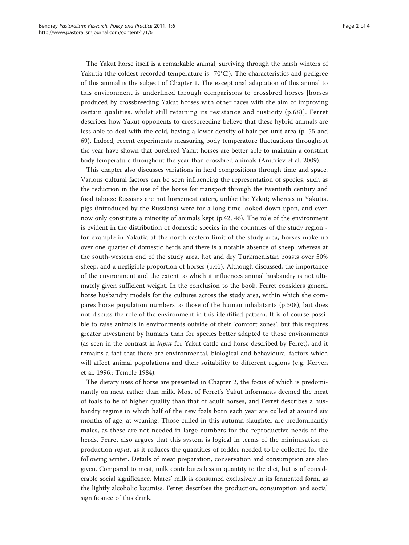The Yakut horse itself is a remarkable animal, surviving through the harsh winters of Yakutia (the coldest recorded temperature is -70°C!). The characteristics and pedigree of this animal is the subject of Chapter 1. The exceptional adaptation of this animal to this environment is underlined through comparisons to crossbred horses [horses produced by crossbreeding Yakut horses with other races with the aim of improving certain qualities, whilst still retaining its resistance and rusticity (p.68)]. Ferret describes how Yakut opponents to crossbreeding believe that these hybrid animals are less able to deal with the cold, having a lower density of hair per unit area (p. 55 and 69). Indeed, recent experiments measuring body temperature fluctuations throughout the year have shown that purebred Yakut horses are better able to maintain a constant body temperature throughout the year than crossbred animals [\(Anufriev et al. 2009](#page-3-0)).

This chapter also discusses variations in herd compositions through time and space. Various cultural factors can be seen influencing the representation of species, such as the reduction in the use of the horse for transport through the twentieth century and food taboos: Russians are not horsemeat eaters, unlike the Yakut; whereas in Yakutia, pigs (introduced by the Russians) were for a long time looked down upon, and even now only constitute a minority of animals kept (p.42, 46). The role of the environment is evident in the distribution of domestic species in the countries of the study region for example in Yakutia at the north-eastern limit of the study area, horses make up over one quarter of domestic herds and there is a notable absence of sheep, whereas at the south-western end of the study area, hot and dry Turkmenistan boasts over 50% sheep, and a negligible proportion of horses (p.41). Although discussed, the importance of the environment and the extent to which it influences animal husbandry is not ultimately given sufficient weight. In the conclusion to the book, Ferret considers general horse husbandry models for the cultures across the study area, within which she compares horse population numbers to those of the human inhabitants (p.308), but does not discuss the role of the environment in this identified pattern. It is of course possible to raise animals in environments outside of their 'comfort zones', but this requires greater investment by humans than for species better adapted to those environments (as seen in the contrast in input for Yakut cattle and horse described by Ferret), and it remains a fact that there are environmental, biological and behavioural factors which will affect animal populations and their suitability to different regions (e.g. [Kerven](#page-3-0) [et al. 1996](#page-3-0),; [Temple 1984\)](#page-3-0).

The dietary uses of horse are presented in Chapter 2, the focus of which is predominantly on meat rather than milk. Most of Ferret's Yakut informants deemed the meat of foals to be of higher quality than that of adult horses, and Ferret describes a husbandry regime in which half of the new foals born each year are culled at around six months of age, at weaning. Those culled in this autumn slaughter are predominantly males, as these are not needed in large numbers for the reproductive needs of the herds. Ferret also argues that this system is logical in terms of the minimisation of production input, as it reduces the quantities of fodder needed to be collected for the following winter. Details of meat preparation, conservation and consumption are also given. Compared to meat, milk contributes less in quantity to the diet, but is of considerable social significance. Mares' milk is consumed exclusively in its fermented form, as the lightly alcoholic koumiss. Ferret describes the production, consumption and social significance of this drink.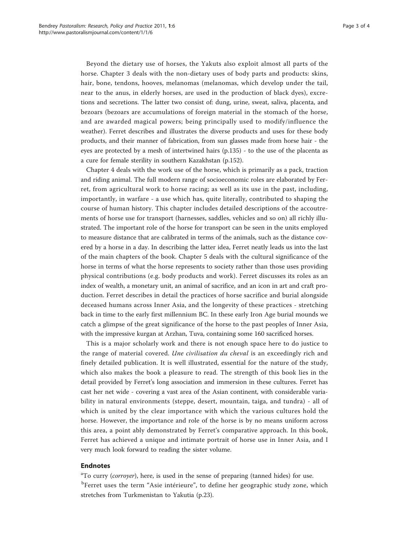Beyond the dietary use of horses, the Yakuts also exploit almost all parts of the horse. Chapter 3 deals with the non-dietary uses of body parts and products: skins, hair, bone, tendons, hooves, melanomas (melanomas, which develop under the tail, near to the anus, in elderly horses, are used in the production of black dyes), excretions and secretions. The latter two consist of: dung, urine, sweat, saliva, placenta, and bezoars (bezoars are accumulations of foreign material in the stomach of the horse, and are awarded magical powers; being principally used to modify/influence the weather). Ferret describes and illustrates the diverse products and uses for these body products, and their manner of fabrication, from sun glasses made from horse hair - the eyes are protected by a mesh of intertwined hairs (p.135) - to the use of the placenta as a cure for female sterility in southern Kazakhstan (p.152).

Chapter 4 deals with the work use of the horse, which is primarily as a pack, traction and riding animal. The full modern range of socioeconomic roles are elaborated by Ferret, from agricultural work to horse racing; as well as its use in the past, including, importantly, in warfare - a use which has, quite literally, contributed to shaping the course of human history. This chapter includes detailed descriptions of the accoutrements of horse use for transport (harnesses, saddles, vehicles and so on) all richly illustrated. The important role of the horse for transport can be seen in the units employed to measure distance that are calibrated in terms of the animals, such as the distance covered by a horse in a day. In describing the latter idea, Ferret neatly leads us into the last of the main chapters of the book. Chapter 5 deals with the cultural significance of the horse in terms of what the horse represents to society rather than those uses providing physical contributions (e.g. body products and work). Ferret discusses its roles as an index of wealth, a monetary unit, an animal of sacrifice, and an icon in art and craft production. Ferret describes in detail the practices of horse sacrifice and burial alongside deceased humans across Inner Asia, and the longevity of these practices - stretching back in time to the early first millennium BC. In these early Iron Age burial mounds we catch a glimpse of the great significance of the horse to the past peoples of Inner Asia, with the impressive kurgan at Arzhan, Tuva, containing some 160 sacrificed horses.

This is a major scholarly work and there is not enough space here to do justice to the range of material covered. Une civilisation du cheval is an exceedingly rich and finely detailed publication. It is well illustrated, essential for the nature of the study, which also makes the book a pleasure to read. The strength of this book lies in the detail provided by Ferret's long association and immersion in these cultures. Ferret has cast her net wide - covering a vast area of the Asian continent, with considerable variability in natural environments (steppe, desert, mountain, taiga, and tundra) - all of which is united by the clear importance with which the various cultures hold the horse. However, the importance and role of the horse is by no means uniform across this area, a point ably demonstrated by Ferret's comparative approach. In this book, Ferret has achieved a unique and intimate portrait of horse use in Inner Asia, and I very much look forward to reading the sister volume.

## Endnotes

<sup>a</sup>To curry (corroyer), here, is used in the sense of preparing (tanned hides) for use. <sup>b</sup>Ferret uses the term "Asie intérieure", to define her geographic study zone, which stretches from Turkmenistan to Yakutia (p.23).